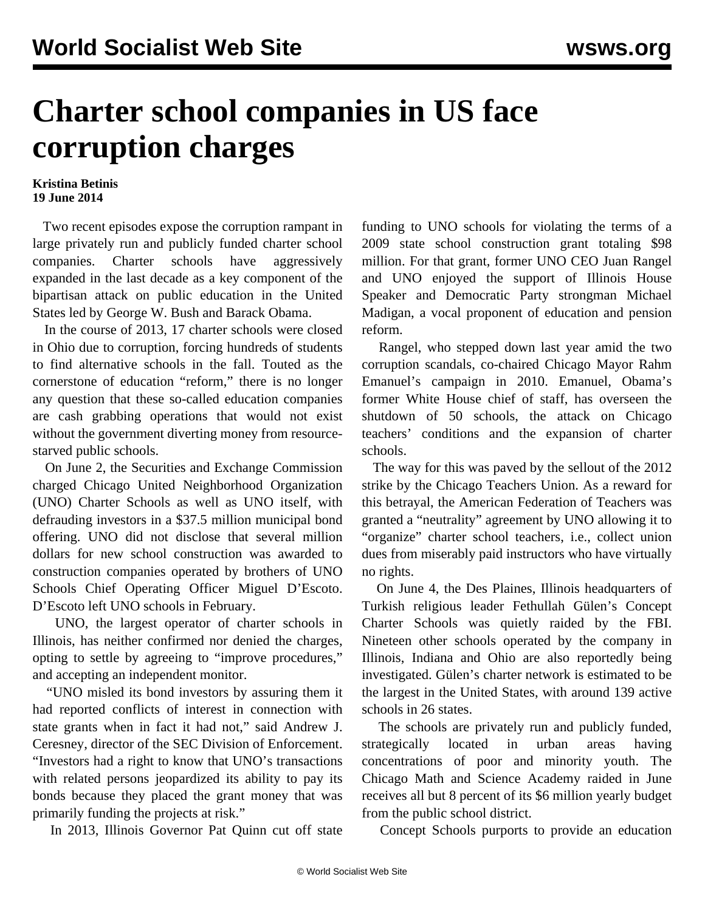## **Charter school companies in US face corruption charges**

## **Kristina Betinis 19 June 2014**

 Two recent episodes expose the corruption rampant in large privately run and publicly funded charter school companies. Charter schools have aggressively expanded in the last decade as a key component of the bipartisan attack on public education in the United States led by George W. Bush and Barack Obama.

 In the course of 2013, [17 charter schools](/en/articles/2014/01/21/char-j21.html) were closed in Ohio due to corruption, forcing hundreds of students to find alternative schools in the fall. Touted as the cornerstone of education "reform," there is no longer any question that these so-called education companies are cash grabbing operations that would not exist without the government diverting money from resourcestarved public schools.

 On June 2, the Securities and Exchange Commission charged Chicago United Neighborhood Organization (UNO) Charter Schools as well as UNO itself, with defrauding investors in a \$37.5 million municipal bond offering. UNO did not disclose that several million dollars for new school construction was awarded to construction companies operated by brothers of UNO Schools Chief Operating Officer Miguel D'Escoto. D'Escoto left UNO schools in February.

 UNO, the largest operator of charter schools in Illinois, has neither confirmed nor denied the charges, opting to settle by agreeing to "improve procedures," and accepting an independent monitor.

 "UNO misled its bond investors by assuring them it had reported conflicts of interest in connection with state grants when in fact it had not," said Andrew J. Ceresney, director of the SEC Division of Enforcement. "Investors had a right to know that UNO's transactions with related persons jeopardized its ability to pay its bonds because they placed the grant money that was primarily funding the projects at risk."

In 2013, Illinois Governor Pat Quinn cut off state

funding to UNO schools for violating the terms of a 2009 state school construction grant totaling \$98 million. For that grant, former UNO CEO Juan Rangel and UNO enjoyed the support of Illinois House Speaker and Democratic Party strongman Michael Madigan, a vocal proponent of education and pension reform.

 Rangel, who stepped down last year amid the two corruption scandals, co-chaired Chicago Mayor Rahm Emanuel's campaign in 2010. Emanuel, Obama's former White House chief of staff, has overseen the shutdown of 50 schools, the attack on Chicago teachers' conditions and the expansion of charter schools.

 The way for this was paved by the sellout of the 2012 strike by the Chicago Teachers Union. As a reward for this betrayal, the American Federation of Teachers was granted a "neutrality" agreement by UNO allowing it to "organize" charter school teachers, i.e., collect union dues from miserably paid instructors who have virtually no rights.

 On June 4, the Des Plaines, Illinois headquarters of Turkish religious leader Fethullah Gülen's Concept Charter Schools was quietly raided by the FBI. Nineteen other schools operated by the company in Illinois, Indiana and Ohio are also reportedly being investigated. Gülen's charter network is estimated to be the largest in the United States, with around 139 active schools in 26 states.

 The schools are privately run and publicly funded, strategically located in urban areas having concentrations of poor and minority youth. The Chicago Math and Science Academy raided in June receives all but 8 percent of its \$6 million yearly budget from the public school district.

Concept Schools purports to provide an education